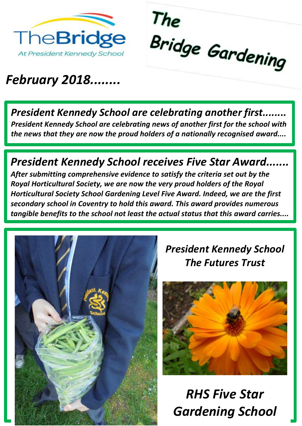



### *February 2018........*

**President Kennedy School are celebrating another first.** *President Kennedy School are celebrating news of another first for the school with the news that they are now the proud holders of a nationally recognised award....*

#### **President Kennedy School receives Five Star Award...**

*After submitting comprehensive evidence to satisfy the criteria set out by the Royal Horticultural Society, we are now the very proud holders of the Royal Horticultural Society School Gardening Level Five Award. Indeed, we are the first secondary school in Coventry to hold this award. This award provides numerous tangible benefits to the school not least the actual status that this award carries....* 



#### *President Kennedy School The Futures Trust*



*RHS Five Star Gardening School*